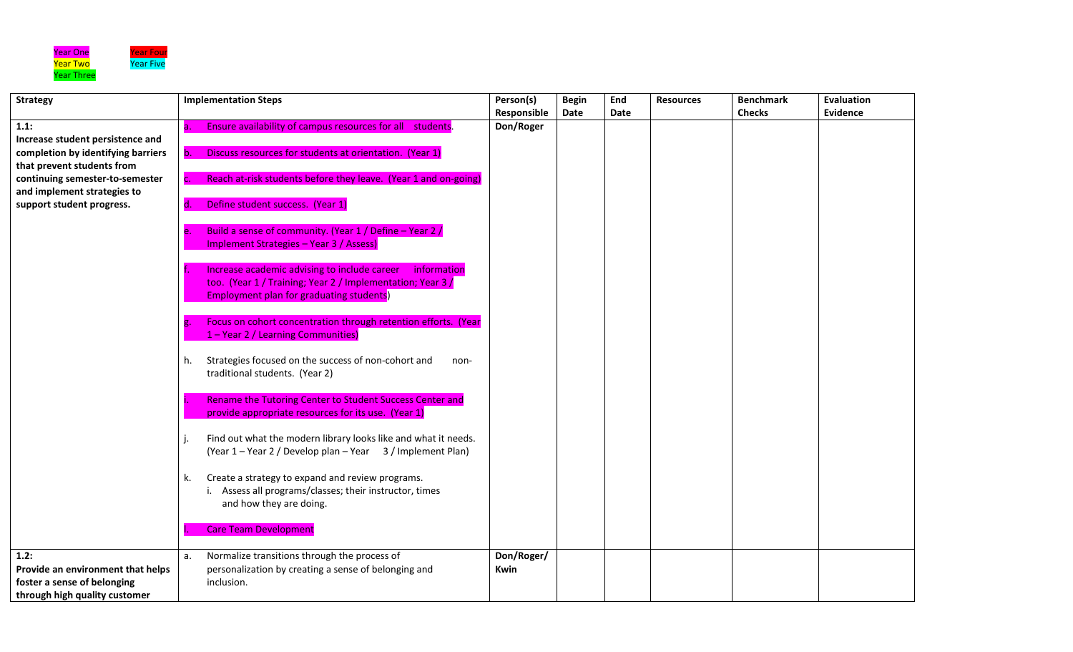

 $\mathbf{r}$ 

 $\mathsf{L}$ 

| <b>Strategy</b>                    | <b>Implementation Steps</b>            |                                                                 | Person(s)   | <b>Begin</b> | End  | <b>Resources</b> | <b>Benchmark</b> | <b>Evaluation</b> |
|------------------------------------|----------------------------------------|-----------------------------------------------------------------|-------------|--------------|------|------------------|------------------|-------------------|
|                                    |                                        |                                                                 | Responsible | Date         | Date |                  | <b>Checks</b>    | Evidence          |
| 1.1:                               | a.                                     | Ensure availability of campus resources for all students.       | Don/Roger   |              |      |                  |                  |                   |
| Increase student persistence and   |                                        |                                                                 |             |              |      |                  |                  |                   |
| completion by identifying barriers | b.                                     | Discuss resources for students at orientation. (Year 1)         |             |              |      |                  |                  |                   |
| that prevent students from         |                                        |                                                                 |             |              |      |                  |                  |                   |
| continuing semester-to-semester    | $\mathsf{C}$ .                         | Reach at-risk students before they leave. (Year 1 and on-going) |             |              |      |                  |                  |                   |
| and implement strategies to        |                                        |                                                                 |             |              |      |                  |                  |                   |
| support student progress.          | Define student success. (Year 1)<br>d. |                                                                 |             |              |      |                  |                  |                   |
|                                    |                                        |                                                                 |             |              |      |                  |                  |                   |
|                                    | e.                                     | Build a sense of community. (Year 1 / Define - Year 2 /         |             |              |      |                  |                  |                   |
|                                    |                                        | <b>Implement Strategies - Year 3 / Assess)</b>                  |             |              |      |                  |                  |                   |
|                                    |                                        |                                                                 |             |              |      |                  |                  |                   |
|                                    |                                        | Increase academic advising to include career<br>information     |             |              |      |                  |                  |                   |
|                                    |                                        | too. (Year 1 / Training; Year 2 / Implementation; Year 3 /      |             |              |      |                  |                  |                   |
|                                    |                                        | <b>Employment plan for graduating students)</b>                 |             |              |      |                  |                  |                   |
|                                    |                                        |                                                                 |             |              |      |                  |                  |                   |
|                                    |                                        | Focus on cohort concentration through retention efforts. (Year  |             |              |      |                  |                  |                   |
|                                    |                                        | 1 - Year 2 / Learning Communities)                              |             |              |      |                  |                  |                   |
|                                    |                                        | Strategies focused on the success of non-cohort and             |             |              |      |                  |                  |                   |
|                                    | h.<br>traditional students. (Year 2)   | non-                                                            |             |              |      |                  |                  |                   |
|                                    |                                        |                                                                 |             |              |      |                  |                  |                   |
|                                    |                                        | Rename the Tutoring Center to Student Success Center and        |             |              |      |                  |                  |                   |
|                                    |                                        | provide appropriate resources for its use. (Year 1)             |             |              |      |                  |                  |                   |
|                                    |                                        |                                                                 |             |              |      |                  |                  |                   |
|                                    |                                        | Find out what the modern library looks like and what it needs.  |             |              |      |                  |                  |                   |
|                                    |                                        | (Year 1 – Year 2 / Develop plan – Year 3 / Implement Plan)      |             |              |      |                  |                  |                   |
|                                    |                                        |                                                                 |             |              |      |                  |                  |                   |
|                                    | k.                                     | Create a strategy to expand and review programs.                |             |              |      |                  |                  |                   |
|                                    |                                        | i. Assess all programs/classes; their instructor, times         |             |              |      |                  |                  |                   |
|                                    | and how they are doing.                |                                                                 |             |              |      |                  |                  |                   |
|                                    |                                        |                                                                 |             |              |      |                  |                  |                   |
|                                    | <b>Care Team Development</b>           |                                                                 |             |              |      |                  |                  |                   |
|                                    |                                        |                                                                 |             |              |      |                  |                  |                   |
| 1.2:                               | a.                                     | Normalize transitions through the process of                    | Don/Roger/  |              |      |                  |                  |                   |
| Provide an environment that helps  |                                        | personalization by creating a sense of belonging and            | <b>Kwin</b> |              |      |                  |                  |                   |
| foster a sense of belonging        | inclusion.                             |                                                                 |             |              |      |                  |                  |                   |
| through high quality customer      |                                        |                                                                 |             |              |      |                  |                  |                   |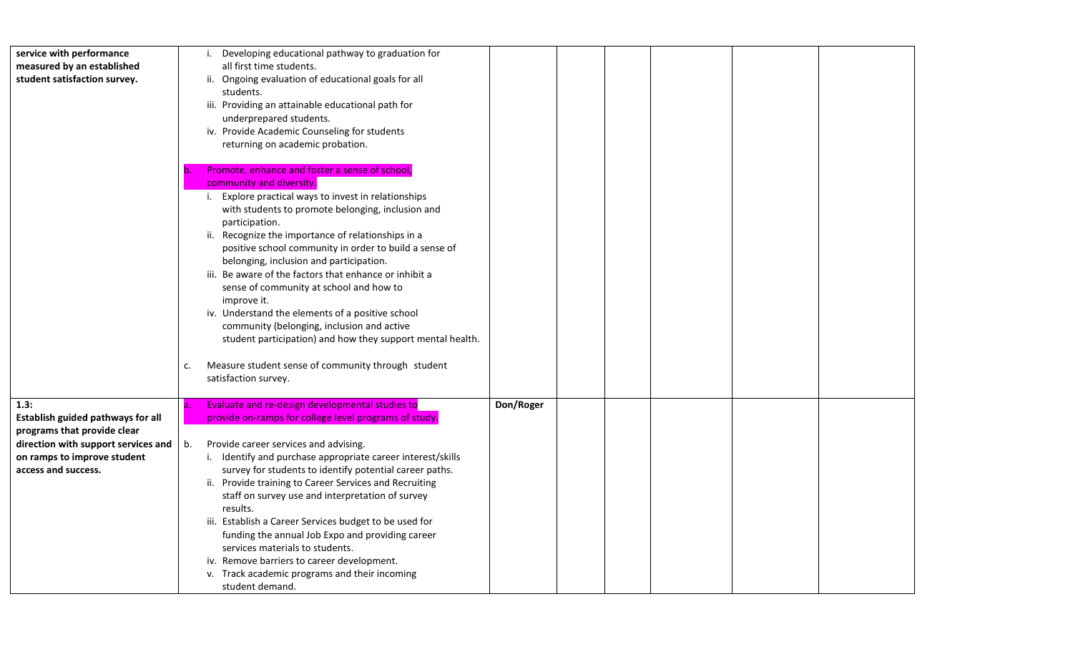| service with performance            | Developing educational pathway to graduation for<br>i.      |           |  |
|-------------------------------------|-------------------------------------------------------------|-----------|--|
| measured by an established          | all first time students.                                    |           |  |
| student satisfaction survey.        | ii. Ongoing evaluation of educational goals for all         |           |  |
|                                     | students.                                                   |           |  |
|                                     | iii. Providing an attainable educational path for           |           |  |
|                                     | underprepared students.                                     |           |  |
|                                     | iv. Provide Academic Counseling for students                |           |  |
|                                     | returning on academic probation.                            |           |  |
|                                     |                                                             |           |  |
|                                     | Promote, enhance and foster a sense of school,<br>b.        |           |  |
|                                     | community and diversity.                                    |           |  |
|                                     | Explore practical ways to invest in relationships<br>i.     |           |  |
|                                     | with students to promote belonging, inclusion and           |           |  |
|                                     | participation.                                              |           |  |
|                                     | ii. Recognize the importance of relationships in a          |           |  |
|                                     | positive school community in order to build a sense of      |           |  |
|                                     |                                                             |           |  |
|                                     | belonging, inclusion and participation.                     |           |  |
|                                     | iii. Be aware of the factors that enhance or inhibit a      |           |  |
|                                     | sense of community at school and how to                     |           |  |
|                                     | improve it.                                                 |           |  |
|                                     | iv. Understand the elements of a positive school            |           |  |
|                                     | community (belonging, inclusion and active                  |           |  |
|                                     | student participation) and how they support mental health.  |           |  |
|                                     |                                                             |           |  |
|                                     | Measure student sense of community through student<br>c.    |           |  |
|                                     | satisfaction survey.                                        |           |  |
|                                     |                                                             |           |  |
| 1.3:                                | Evaluate and re-design developmental studies to<br>la.      | Don/Roger |  |
| Establish guided pathways for all   | provide on-ramps for college level programs of study.       |           |  |
| programs that provide clear         |                                                             |           |  |
| direction with support services and | Provide career services and advising.<br>b.                 |           |  |
| on ramps to improve student         | i. Identify and purchase appropriate career interest/skills |           |  |
| access and success.                 | survey for students to identify potential career paths.     |           |  |
|                                     | ii. Provide training to Career Services and Recruiting      |           |  |
|                                     | staff on survey use and interpretation of survey            |           |  |
|                                     | results.                                                    |           |  |
|                                     | iii. Establish a Career Services budget to be used for      |           |  |
|                                     | funding the annual Job Expo and providing career            |           |  |
|                                     | services materials to students.                             |           |  |
|                                     | iv. Remove barriers to career development.                  |           |  |
|                                     | v. Track academic programs and their incoming               |           |  |
|                                     | student demand.                                             |           |  |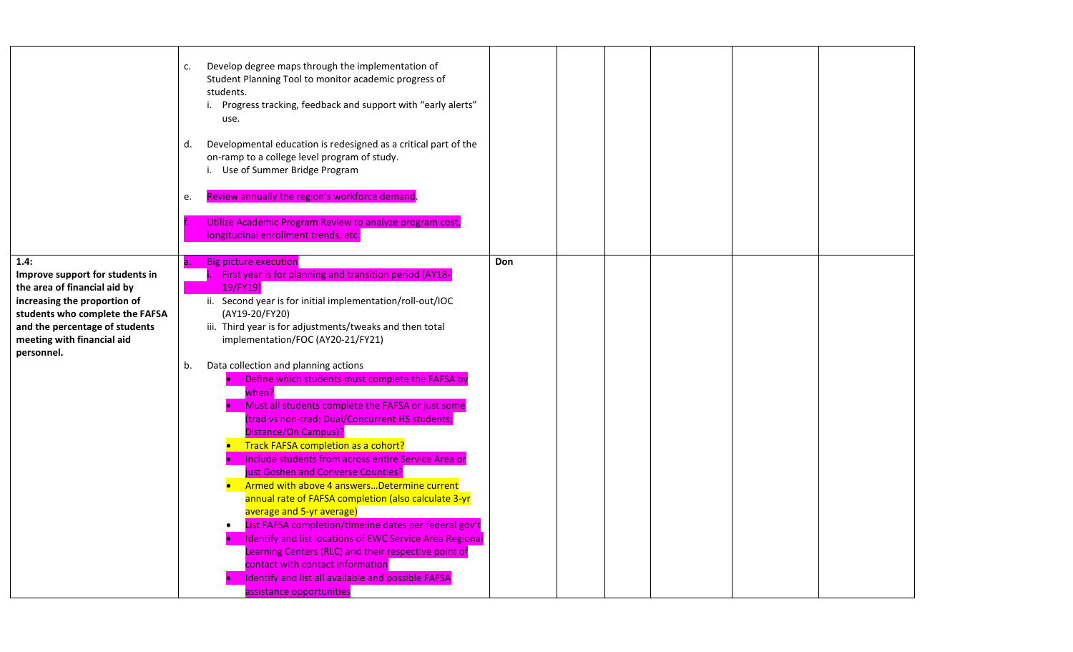|                                                                                                                                            | Develop degree maps through the implementation of<br>c.<br>Student Planning Tool to monitor academic progress of<br>students.<br>i. Progress tracking, feedback and support with "early alerts"<br>use.<br>Developmental education is redesigned as a critical part of the<br>d.<br>on-ramp to a college level program of study.<br>i. Use of Summer Bridge Program<br>Review annually the region's workforce demand.<br>e.<br>Utilize Academic Program Review to analyze program cost,<br>longitudinal enrollment trends, etc.                                                                                                                                                            |     |  |  |
|--------------------------------------------------------------------------------------------------------------------------------------------|--------------------------------------------------------------------------------------------------------------------------------------------------------------------------------------------------------------------------------------------------------------------------------------------------------------------------------------------------------------------------------------------------------------------------------------------------------------------------------------------------------------------------------------------------------------------------------------------------------------------------------------------------------------------------------------------|-----|--|--|
| 1.4:<br>Improve support for students in<br>the area of financial aid by<br>increasing the proportion of<br>students who complete the FAFSA | <b>Big picture execution</b><br>First year is for planning and transition period (AY18-<br>19/FY19)<br>ii. Second year is for initial implementation/roll-out/IOC<br>(AY19-20/FY20)                                                                                                                                                                                                                                                                                                                                                                                                                                                                                                        | Don |  |  |
| and the percentage of students<br>meeting with financial aid<br>personnel.                                                                 | iii. Third year is for adjustments/tweaks and then total<br>implementation/FOC (AY20-21/FY21)<br>Data collection and planning actions<br>b.                                                                                                                                                                                                                                                                                                                                                                                                                                                                                                                                                |     |  |  |
|                                                                                                                                            | Define which students must complete the FAFSA by<br>when?<br>Must all students complete the FAFSA or just some<br>(trad vs non-trad; Dual/Concurrent HS students;<br>Distance/On Campus)?<br>Track FAFSA completion as a cohort?<br>Include students from across entire Service Area or<br>just Goshen and Converse Counties?<br>Armed with above 4 answersDetermine current<br>annual rate of FAFSA completion (also calculate 3-yr<br>average and 5-yr average)<br>List FAFSA completion/timeline dates per federal gov't<br><b>Identify and list locations of EWC Service Area Regional</b><br>Learning Centers (RLC) and their respective point of<br>contact with contact information |     |  |  |
|                                                                                                                                            | Identify and list all available and possible FAFSA<br>assistance opportunities                                                                                                                                                                                                                                                                                                                                                                                                                                                                                                                                                                                                             |     |  |  |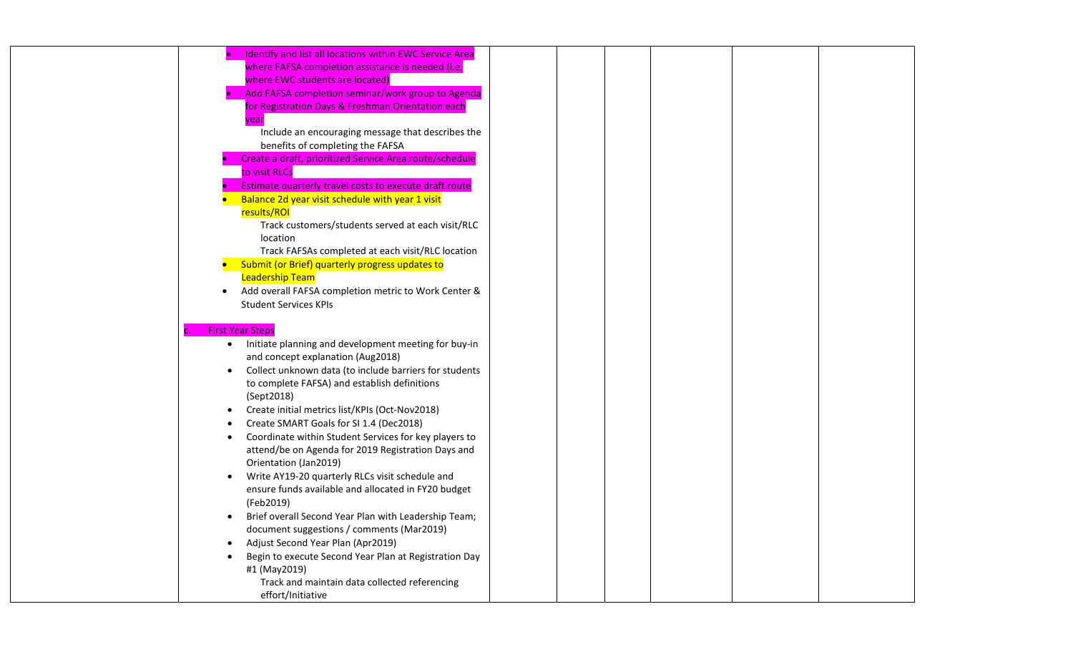|           | Identify and list all locations within EWC Service Area |
|-----------|---------------------------------------------------------|
|           | where FAFSA completion assistance is needed (i.e.       |
|           | where EWC students are located)                         |
|           | Add FAFSA completion seminar/work group to Agenda       |
|           | for Registration Days & Freshman Orientation each       |
|           | year                                                    |
|           | Include an encouraging message that describes the       |
|           | benefits of completing the FAFSA                        |
|           | Create a draft, prioritized Service Area route/schedule |
|           | to visit RLCs                                           |
|           | Estimate quarterly travel costs to execute draft route  |
|           | Balance 2d year visit schedule with year 1 visit        |
|           | results/ROI                                             |
|           | Track customers/students served at each visit/RLC       |
|           | location                                                |
|           | Track FAFSAs completed at each visit/RLC location       |
|           | Submit (or Brief) quarterly progress updates to         |
|           | <b>Leadership Team</b>                                  |
|           | Add overall FAFSA completion metric to Work Center &    |
|           | <b>Student Services KPIs</b>                            |
|           |                                                         |
|           | <b>First Year Steps</b>                                 |
| $\bullet$ | Initiate planning and development meeting for buy-in    |
|           | and concept explanation (Aug2018)                       |
|           | Collect unknown data (to include barriers for students  |
|           | to complete FAFSA) and establish definitions            |
|           | (Sept2018)                                              |
| ٠         | Create initial metrics list/KPIs (Oct-Nov2018)          |
|           | Create SMART Goals for SI 1.4 (Dec2018)                 |
|           | Coordinate within Student Services for key players to   |
|           | attend/be on Agenda for 2019 Registration Days and      |
|           | Orientation (Jan2019)                                   |
|           | Write AY19-20 quarterly RLCs visit schedule and         |
|           | ensure funds available and allocated in FY20 budget     |
|           | (Feb2019)                                               |
| $\bullet$ | Brief overall Second Year Plan with Leadership Team;    |
|           | document suggestions / comments (Mar2019)               |
|           | Adjust Second Year Plan (Apr2019)                       |
|           | Begin to execute Second Year Plan at Registration Day   |
|           | #1 (May2019)                                            |
|           | Track and maintain data collected referencing           |
|           | effort/Initiative                                       |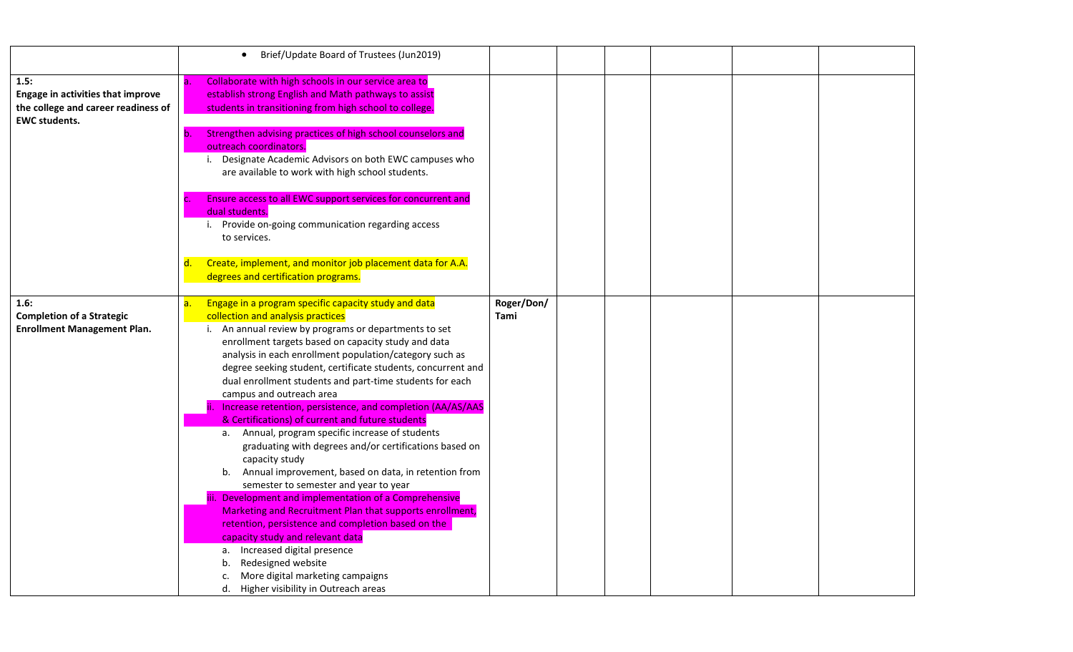|                                                                                                                 | Brief/Update Board of Trustees (Jun2019)<br>$\bullet$                                                                                                                                                                                                                                                                                                                                                                                                                                                                                                                                                                                                                                                                                                                                                                                                                                                                                                                                                                                                                                                                                                        |                    |  |  |  |
|-----------------------------------------------------------------------------------------------------------------|--------------------------------------------------------------------------------------------------------------------------------------------------------------------------------------------------------------------------------------------------------------------------------------------------------------------------------------------------------------------------------------------------------------------------------------------------------------------------------------------------------------------------------------------------------------------------------------------------------------------------------------------------------------------------------------------------------------------------------------------------------------------------------------------------------------------------------------------------------------------------------------------------------------------------------------------------------------------------------------------------------------------------------------------------------------------------------------------------------------------------------------------------------------|--------------------|--|--|--|
| 1.5:<br><b>Engage in activities that improve</b><br>the college and career readiness of<br><b>EWC students.</b> | Collaborate with high schools in our service area to<br>a.<br>establish strong English and Math pathways to assist<br>students in transitioning from high school to college.                                                                                                                                                                                                                                                                                                                                                                                                                                                                                                                                                                                                                                                                                                                                                                                                                                                                                                                                                                                 |                    |  |  |  |
|                                                                                                                 | Strengthen advising practices of high school counselors and<br>outreach coordinators.<br>Designate Academic Advisors on both EWC campuses who<br>are available to work with high school students.                                                                                                                                                                                                                                                                                                                                                                                                                                                                                                                                                                                                                                                                                                                                                                                                                                                                                                                                                            |                    |  |  |  |
|                                                                                                                 | Ensure access to all EWC support services for concurrent and<br>dual students.<br>i. Provide on-going communication regarding access<br>to services.                                                                                                                                                                                                                                                                                                                                                                                                                                                                                                                                                                                                                                                                                                                                                                                                                                                                                                                                                                                                         |                    |  |  |  |
|                                                                                                                 | Create, implement, and monitor job placement data for A.A.<br>d.<br>degrees and certification programs.                                                                                                                                                                                                                                                                                                                                                                                                                                                                                                                                                                                                                                                                                                                                                                                                                                                                                                                                                                                                                                                      |                    |  |  |  |
| 1.6:<br><b>Completion of a Strategic</b><br><b>Enrollment Management Plan.</b>                                  | Engage in a program specific capacity study and data<br>а.<br>collection and analysis practices<br>i. An annual review by programs or departments to set<br>enrollment targets based on capacity study and data<br>analysis in each enrollment population/category such as<br>degree seeking student, certificate students, concurrent and<br>dual enrollment students and part-time students for each<br>campus and outreach area<br>Increase retention, persistence, and completion (AA/AS/AAS<br>& Certifications) of current and future students<br>a. Annual, program specific increase of students<br>graduating with degrees and/or certifications based on<br>capacity study<br>Annual improvement, based on data, in retention from<br>b.<br>semester to semester and year to year<br>iii. Development and implementation of a Comprehensive<br>Marketing and Recruitment Plan that supports enrollment,<br>retention, persistence and completion based on the<br>capacity study and relevant data<br>a. Increased digital presence<br>Redesigned website<br>b.<br>More digital marketing campaigns<br>c.<br>d. Higher visibility in Outreach areas | Roger/Don/<br>Tami |  |  |  |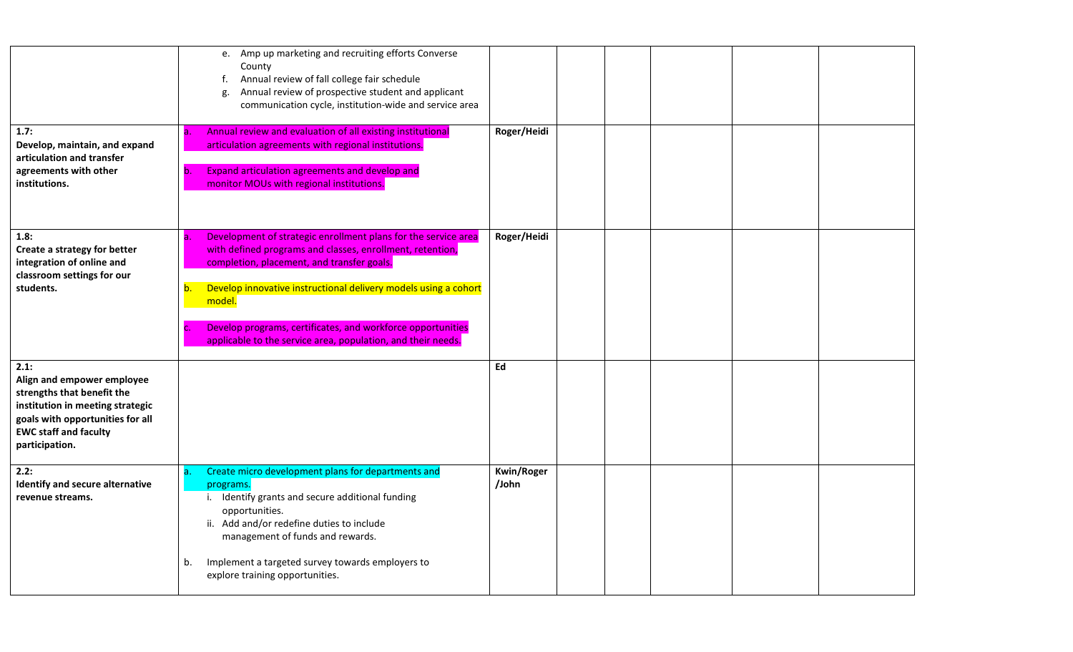|                                                                                                                                                                                            | e. Amp up marketing and recruiting efforts Converse<br>County<br>Annual review of fall college fair schedule<br>f.<br>Annual review of prospective student and applicant<br>g.<br>communication cycle, institution-wide and service area                                                                                                                                                                |                            |  |  |  |
|--------------------------------------------------------------------------------------------------------------------------------------------------------------------------------------------|---------------------------------------------------------------------------------------------------------------------------------------------------------------------------------------------------------------------------------------------------------------------------------------------------------------------------------------------------------------------------------------------------------|----------------------------|--|--|--|
| 1.7:<br>Develop, maintain, and expand<br>articulation and transfer<br>agreements with other<br>institutions.                                                                               | Annual review and evaluation of all existing institutional<br>а.<br>articulation agreements with regional institutions.<br>Expand articulation agreements and develop and<br>b.<br>monitor MOUs with regional institutions.                                                                                                                                                                             | Roger/Heidi                |  |  |  |
| 1.8:<br>Create a strategy for better<br>integration of online and<br>classroom settings for our<br>students.                                                                               | Development of strategic enrollment plans for the service area<br>а.<br>with defined programs and classes, enrollment, retention,<br>completion, placement, and transfer goals.<br>Develop innovative instructional delivery models using a cohort<br>b.<br>model.<br>Develop programs, certificates, and workforce opportunities<br>C.<br>applicable to the service area, population, and their needs. | Roger/Heidi                |  |  |  |
| 2.1:<br>Align and empower employee<br>strengths that benefit the<br>institution in meeting strategic<br>goals with opportunities for all<br><b>EWC staff and faculty</b><br>participation. |                                                                                                                                                                                                                                                                                                                                                                                                         | Ed                         |  |  |  |
| 2.2:<br>Identify and secure alternative<br>revenue streams.                                                                                                                                | Create micro development plans for departments and<br>a.<br>programs.<br>i. Identify grants and secure additional funding<br>opportunities.<br>ii. Add and/or redefine duties to include<br>management of funds and rewards.<br>Implement a targeted survey towards employers to<br>b.<br>explore training opportunities.                                                                               | <b>Kwin/Roger</b><br>/John |  |  |  |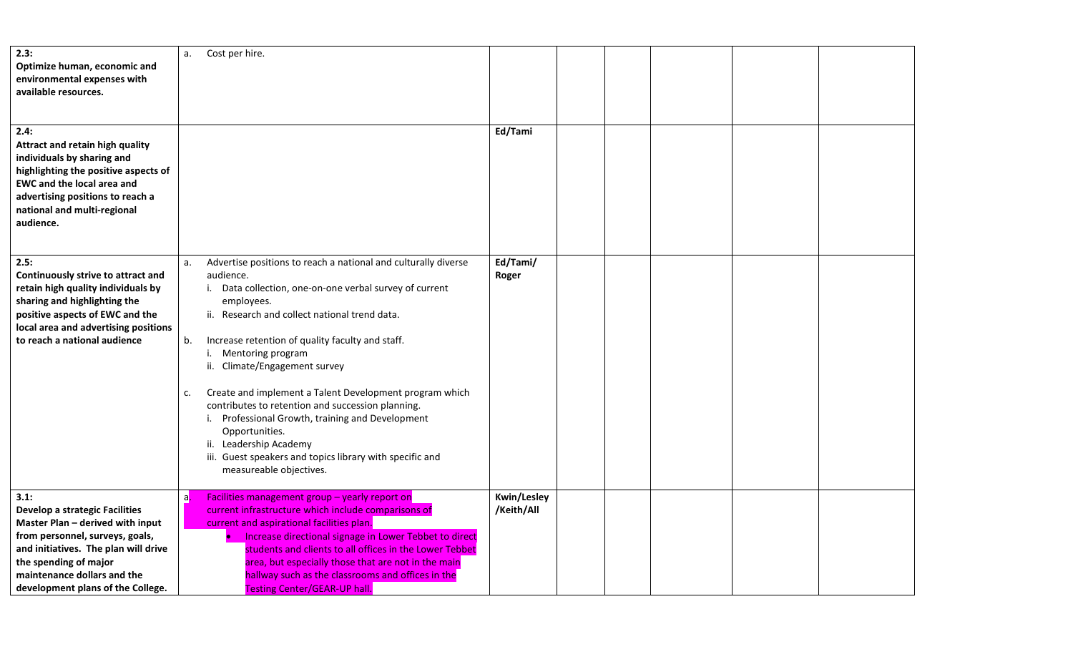| 2.3:<br>Optimize human, economic and<br>environmental expenses with<br>available resources.                                                                                                                                                               | Cost per hire.<br>a.                                                                                                                                                                                                                                                                                                                                                                                                                                                                                                                                                                                                                        |                                  |  |  |
|-----------------------------------------------------------------------------------------------------------------------------------------------------------------------------------------------------------------------------------------------------------|---------------------------------------------------------------------------------------------------------------------------------------------------------------------------------------------------------------------------------------------------------------------------------------------------------------------------------------------------------------------------------------------------------------------------------------------------------------------------------------------------------------------------------------------------------------------------------------------------------------------------------------------|----------------------------------|--|--|
| 2.4:<br>Attract and retain high quality<br>individuals by sharing and<br>highlighting the positive aspects of<br><b>EWC and the local area and</b><br>advertising positions to reach a<br>national and multi-regional<br>audience.                        |                                                                                                                                                                                                                                                                                                                                                                                                                                                                                                                                                                                                                                             | Ed/Tami                          |  |  |
| 2.5:<br>Continuously strive to attract and<br>retain high quality individuals by<br>sharing and highlighting the<br>positive aspects of EWC and the<br>local area and advertising positions<br>to reach a national audience                               | Advertise positions to reach a national and culturally diverse<br>a.<br>audience.<br>i. Data collection, one-on-one verbal survey of current<br>employees.<br>ii. Research and collect national trend data.<br>Increase retention of quality faculty and staff.<br>b.<br>i. Mentoring program<br>ii. Climate/Engagement survey<br>Create and implement a Talent Development program which<br>c.<br>contributes to retention and succession planning.<br>i. Professional Growth, training and Development<br>Opportunities.<br>ii. Leadership Academy<br>iii. Guest speakers and topics library with specific and<br>measureable objectives. | Ed/Tami/<br>Roger                |  |  |
| 3.1:<br><b>Develop a strategic Facilities</b><br>Master Plan - derived with input<br>from personnel, surveys, goals,<br>and initiatives. The plan will drive<br>the spending of major<br>maintenance dollars and the<br>development plans of the College. | Facilities management group - yearly report on<br>a.<br>current infrastructure which include comparisons of<br>current and aspirational facilities plan.<br>Increase directional signage in Lower Tebbet to direct<br>students and clients to all offices in the Lower Tebbet<br>area, but especially those that are not in the main<br>hallway such as the classrooms and offices in the<br><b>Testing Center/GEAR-UP hall.</b>                                                                                                                                                                                                            | <b>Kwin/Lesley</b><br>/Keith/All |  |  |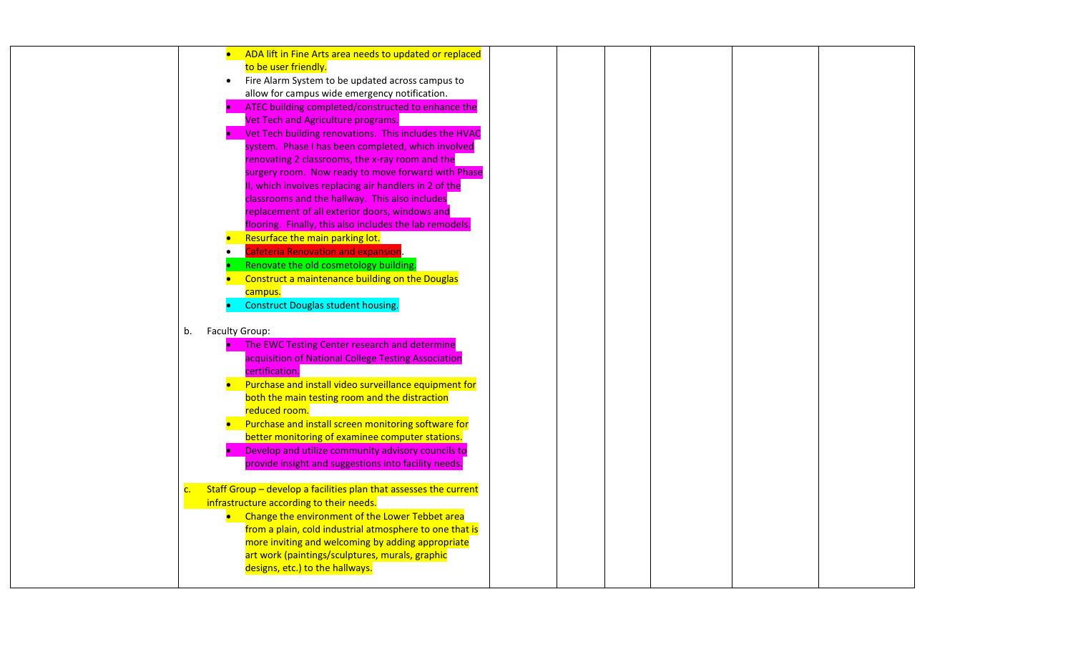| ADA lift in Fine Arts area needs to updated or replaced<br>$\bullet$                |  |  |
|-------------------------------------------------------------------------------------|--|--|
| to be user friendly.                                                                |  |  |
| Fire Alarm System to be updated across campus to<br>$\bullet$                       |  |  |
| allow for campus wide emergency notification.                                       |  |  |
| ATEC building completed/constructed to enhance the                                  |  |  |
| Vet Tech and Agriculture programs.                                                  |  |  |
| Vet Tech building renovations. This includes the HVAC                               |  |  |
| system. Phase I has been completed, which involved                                  |  |  |
| renovating 2 classrooms, the x-ray room and the                                     |  |  |
| surgery room. Now ready to move forward with Phase                                  |  |  |
| II, which involves replacing air handlers in 2 of the                               |  |  |
| classrooms and the hallway. This also includes                                      |  |  |
| replacement of all exterior doors, windows and                                      |  |  |
| flooring. Finally, this also includes the lab remodels.                             |  |  |
| Resurface the main parking lot.                                                     |  |  |
| <b>Cafeteria Renovation and expansion.</b>                                          |  |  |
| Renovate the old cosmetology building.                                              |  |  |
| Construct a maintenance building on the Douglas                                     |  |  |
| campus.                                                                             |  |  |
| <b>Construct Douglas student housing.</b>                                           |  |  |
|                                                                                     |  |  |
| Faculty Group:<br>b.                                                                |  |  |
| The EWC Testing Center research and determine<br>$\bullet$                          |  |  |
| acquisition of National College Testing Association                                 |  |  |
| certification.                                                                      |  |  |
| Purchase and install video surveillance equipment for                               |  |  |
| both the main testing room and the distraction                                      |  |  |
| reduced room.                                                                       |  |  |
| Purchase and install screen monitoring software for                                 |  |  |
| better monitoring of examinee computer stations.                                    |  |  |
| Develop and utilize community advisory councils to                                  |  |  |
| provide insight and suggestions into facility needs.                                |  |  |
|                                                                                     |  |  |
| Staff Group - develop a facilities plan that assesses the current<br>$\mathsf{C}$ . |  |  |
| infrastructure according to their needs.                                            |  |  |
| Change the environment of the Lower Tebbet area                                     |  |  |
| from a plain, cold industrial atmosphere to one that is                             |  |  |
| more inviting and welcoming by adding appropriate                                   |  |  |
| art work (paintings/sculptures, murals, graphic                                     |  |  |
| designs, etc.) to the hallways.                                                     |  |  |
|                                                                                     |  |  |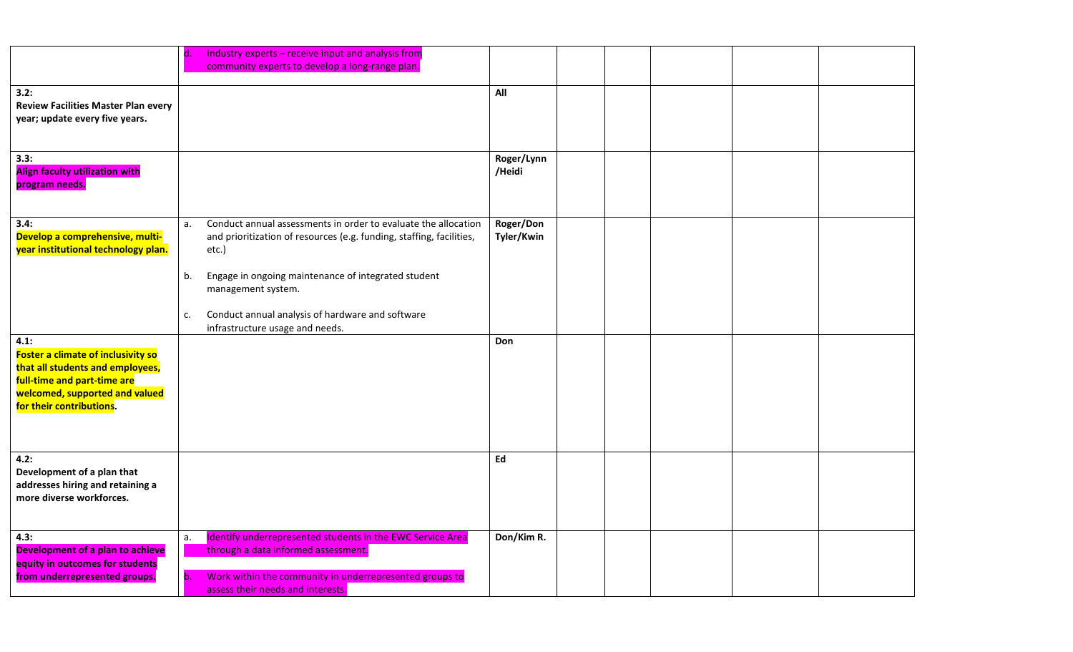|                                                                                                                                                                                    | Industry experts - receive input and analysis from<br>d.<br>community experts to develop a long-range plan.                                                                                                   |                         |  |
|------------------------------------------------------------------------------------------------------------------------------------------------------------------------------------|---------------------------------------------------------------------------------------------------------------------------------------------------------------------------------------------------------------|-------------------------|--|
| 3.2:<br><b>Review Facilities Master Plan every</b><br>year; update every five years.                                                                                               |                                                                                                                                                                                                               | All                     |  |
| 3.3:<br><b>Align faculty utilization with</b><br>program needs.                                                                                                                    |                                                                                                                                                                                                               | Roger/Lynn<br>/Heidi    |  |
| 3.4:<br>Develop a comprehensive, multi-<br>year institutional technology plan.                                                                                                     | Conduct annual assessments in order to evaluate the allocation<br>a.<br>and prioritization of resources (e.g. funding, staffing, facilities,<br>etc.)<br>Engage in ongoing maintenance of integrated student  | Roger/Don<br>Tyler/Kwin |  |
|                                                                                                                                                                                    | b.<br>management system.<br>Conduct annual analysis of hardware and software<br>c.<br>infrastructure usage and needs.                                                                                         |                         |  |
| 4.1:<br><b>Foster a climate of inclusivity so</b><br>that all students and employees,<br>full-time and part-time are<br>welcomed, supported and valued<br>for their contributions. |                                                                                                                                                                                                               | Don                     |  |
| 4.2:<br>Development of a plan that<br>addresses hiring and retaining a<br>more diverse workforces.                                                                                 |                                                                                                                                                                                                               | Ed                      |  |
| 4.3:<br>Development of a plan to achieve<br>equity in outcomes for students<br>from underrepresented groups.                                                                       | Identify underrepresented students in the EWC Service Area<br>a.<br>through a data informed assessment.<br>Work within the community in underrepresented groups to<br>b.<br>assess their needs and interests. | Don/Kim R.              |  |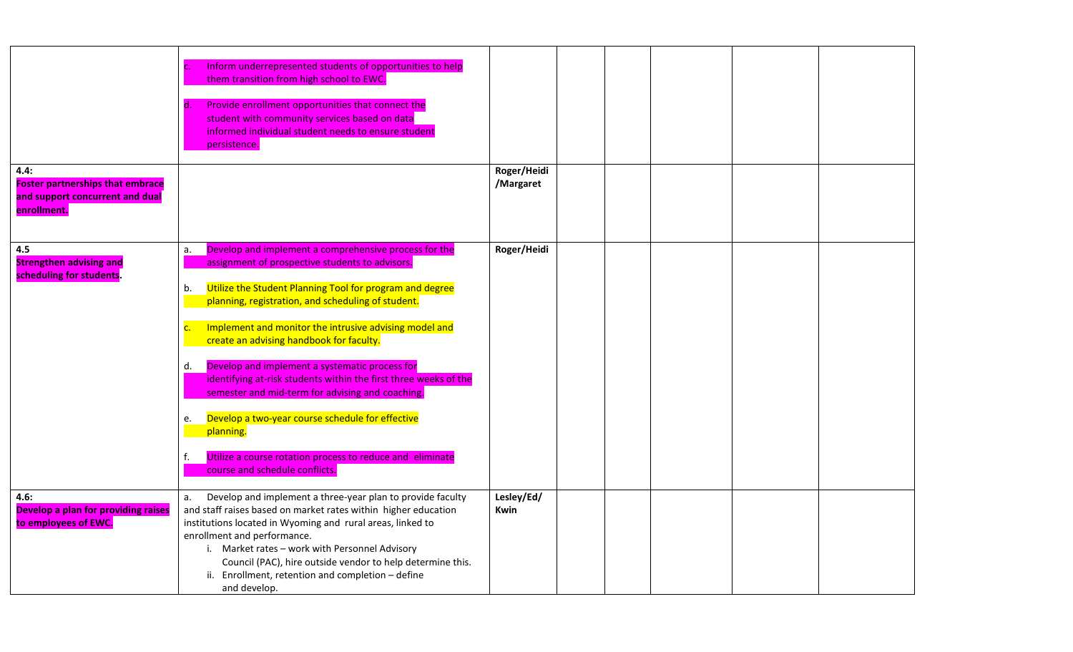|                                                                                                   | Inform underrepresented students of opportunities to help<br>c.<br>them transition from high school to EWC.<br>Provide enrollment opportunities that connect the<br>d.<br>student with community services based on data<br>informed individual student needs to ensure student<br>persistence.                                                                                                                                                                                                                                                                                                                                                                                                                               |                          |  |  |  |
|---------------------------------------------------------------------------------------------------|------------------------------------------------------------------------------------------------------------------------------------------------------------------------------------------------------------------------------------------------------------------------------------------------------------------------------------------------------------------------------------------------------------------------------------------------------------------------------------------------------------------------------------------------------------------------------------------------------------------------------------------------------------------------------------------------------------------------------|--------------------------|--|--|--|
| 4.4:<br><b>Foster partnerships that embrace</b><br>and support concurrent and dual<br>enrollment. |                                                                                                                                                                                                                                                                                                                                                                                                                                                                                                                                                                                                                                                                                                                              | Roger/Heidi<br>/Margaret |  |  |  |
| 4.5<br><b>Strengthen advising and</b><br>scheduling for students.                                 | Develop and implement a comprehensive process for the<br>a.<br>assignment of prospective students to advisors.<br>Utilize the Student Planning Tool for program and degree<br>b.<br>planning, registration, and scheduling of student.<br>Implement and monitor the intrusive advising model and<br>$\overline{C}$ .<br>create an advising handbook for faculty.<br>Develop and implement a systematic process for<br>d.<br>identifying at-risk students within the first three weeks of the<br>semester and mid-term for advising and coaching.<br>Develop a two-year course schedule for effective<br>e.<br>planning.<br>f.<br>Utilize a course rotation process to reduce and eliminate<br>course and schedule conflicts. | Roger/Heidi              |  |  |  |
| 4.6:<br>Develop a plan for providing raises<br>to employees of EWC.                               | Develop and implement a three-year plan to provide faculty<br>a.<br>and staff raises based on market rates within higher education<br>institutions located in Wyoming and rural areas, linked to<br>enrollment and performance.<br>i. Market rates - work with Personnel Advisory<br>Council (PAC), hire outside vendor to help determine this.<br>ii. Enrollment, retention and completion - define<br>and develop.                                                                                                                                                                                                                                                                                                         | Lesley/Ed/<br>Kwin       |  |  |  |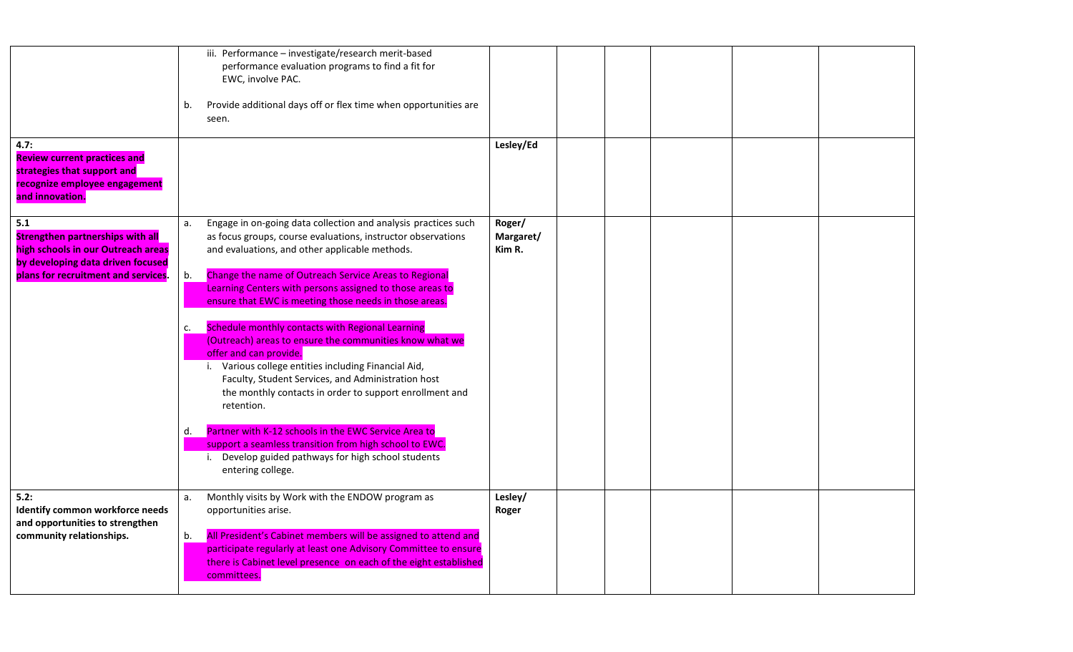| 4.7:<br><b>Review current practices and</b><br>strategies that support and<br>recognize employee engagement<br>and innovation.                                   | iii. Performance - investigate/research merit-based<br>performance evaluation programs to find a fit for<br>EWC, involve PAC.<br>Provide additional days off or flex time when opportunities are<br>b.<br>seen.                                                                                                                                                                                                                                                                                                                                                                                                                                                                                                                                                                                                                                                                                                       | Lesley/Ed                     |  |
|------------------------------------------------------------------------------------------------------------------------------------------------------------------|-----------------------------------------------------------------------------------------------------------------------------------------------------------------------------------------------------------------------------------------------------------------------------------------------------------------------------------------------------------------------------------------------------------------------------------------------------------------------------------------------------------------------------------------------------------------------------------------------------------------------------------------------------------------------------------------------------------------------------------------------------------------------------------------------------------------------------------------------------------------------------------------------------------------------|-------------------------------|--|
| 5.1<br><b>Strengthen partnerships with all</b><br>high schools in our Outreach areas<br>by developing data driven focused<br>plans for recruitment and services. | Engage in on-going data collection and analysis practices such<br>a.<br>as focus groups, course evaluations, instructor observations<br>and evaluations, and other applicable methods.<br>Change the name of Outreach Service Areas to Regional<br>b.<br>Learning Centers with persons assigned to those areas to<br>ensure that EWC is meeting those needs in those areas.<br>Schedule monthly contacts with Regional Learning<br>c.<br>(Outreach) areas to ensure the communities know what we<br>offer and can provide.<br>i. Various college entities including Financial Aid,<br>Faculty, Student Services, and Administration host<br>the monthly contacts in order to support enrollment and<br>retention.<br>Partner with K-12 schools in the EWC Service Area to<br>d.<br>support a seamless transition from high school to EWC.<br>i. Develop guided pathways for high school students<br>entering college. | Roger/<br>Margaret/<br>Kim R. |  |
| 5.2:<br>Identify common workforce needs<br>and opportunities to strengthen<br>community relationships.                                                           | Monthly visits by Work with the ENDOW program as<br>а.<br>opportunities arise.<br>All President's Cabinet members will be assigned to attend and<br>b.<br>participate regularly at least one Advisory Committee to ensure<br>there is Cabinet level presence on each of the eight established<br>committees.                                                                                                                                                                                                                                                                                                                                                                                                                                                                                                                                                                                                          | Lesley/<br>Roger              |  |